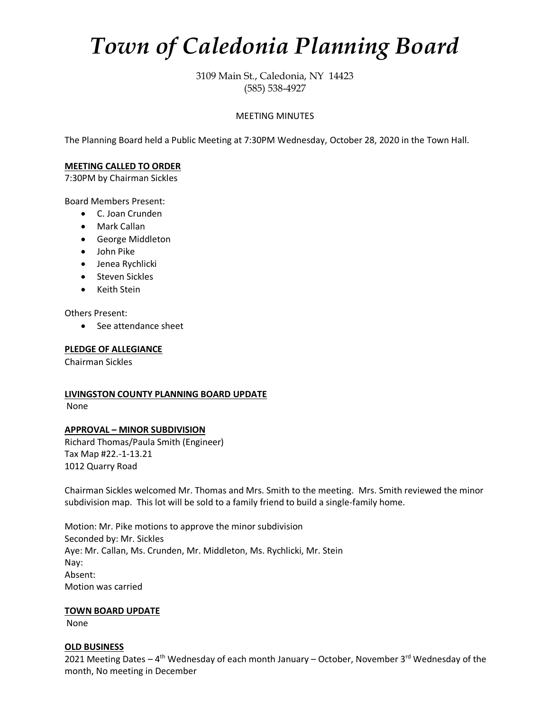# *Town of Caledonia Planning Board*

3109 Main St., Caledonia, NY 14423 (585) 538-4927

## MEETING MINUTES

The Planning Board held a Public Meeting at 7:30PM Wednesday, October 28, 2020 in the Town Hall.

## **MEETING CALLED TO ORDER**

7:30PM by Chairman Sickles

Board Members Present:

- C. Joan Crunden
- Mark Callan
- George Middleton
- John Pike
- Jenea Rychlicki
- Steven Sickles
- Keith Stein

Others Present:

• See attendance sheet

#### **PLEDGE OF ALLEGIANCE**

Chairman Sickles

# **LIVINGSTON COUNTY PLANNING BOARD UPDATE** None

# **APPROVAL – MINOR SUBDIVISION**

Richard Thomas/Paula Smith (Engineer) Tax Map #22.-1-13.21 1012 Quarry Road

Chairman Sickles welcomed Mr. Thomas and Mrs. Smith to the meeting. Mrs. Smith reviewed the minor subdivision map. This lot will be sold to a family friend to build a single-family home.

Motion: Mr. Pike motions to approve the minor subdivision Seconded by: Mr. Sickles Aye: Mr. Callan, Ms. Crunden, Mr. Middleton, Ms. Rychlicki, Mr. Stein Nay: Absent: Motion was carried

#### **TOWN BOARD UPDATE**

None

#### **OLD BUSINESS**

2021 Meeting Dates – 4<sup>th</sup> Wednesday of each month January – October, November 3<sup>rd</sup> Wednesday of the month, No meeting in December